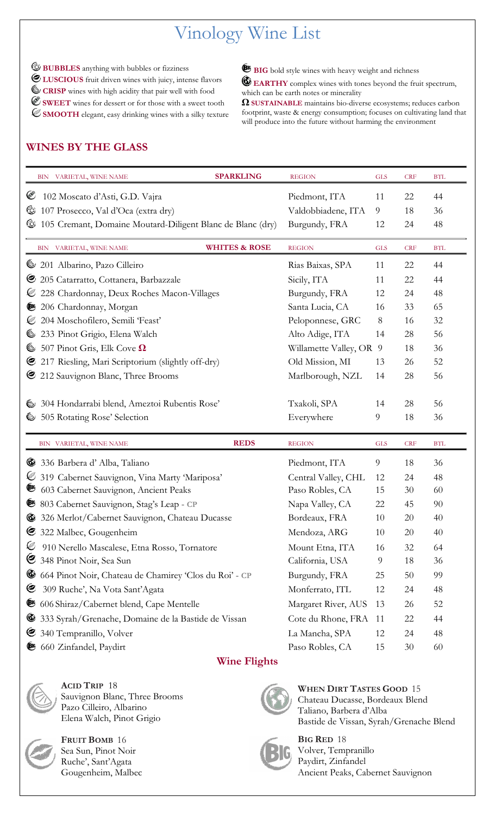# Vinology Wine List

 $\bullet$  **BUBBLES** anything with bubbles or fizziness **LUSCIOUS** fruit driven wines with juicy, intense flavors **CRISP** wines with high acidity that pair well with food **SWEET** wines for dessert or for those with a sweet tooth **SMOOTH** elegant, easy drinking wines with a silky texture

BIG bold style wines with heavy weight and richness

**EARTHY** complex wines with tones beyond the fruit spectrum, which can be earth notes or minerality

**Ω SUSTAINABLE** maintains bio-diverse ecosystems; reduces carbon footprint, waste & energy consumption; focuses on cultivating land that will produce into the future without harming the environment

# **WINES BY THE GLASS**

|             | BIN VARIETAL, WINE NAME                                    | <b>SPARKLING</b>         | <b>REGION</b>         | <b>GLS</b> | <b>CRF</b> | <b>BTL</b> |
|-------------|------------------------------------------------------------|--------------------------|-----------------------|------------|------------|------------|
| €           | 102 Moscato d'Asti, G.D. Vajra                             |                          | Piedmont, ITA         | 11         | 22         | 44         |
| C           | 107 Prosecco, Val d'Oca (extra dry)                        |                          | Valdobbiadene, ITA    | 9          | 18         | 36         |
| C           | 105 Cremant, Domaine Moutard-Diligent Blanc de Blanc (dry) |                          | Burgundy, FRA         | 12         | 24         | 48         |
|             | BIN VARIETAL, WINE NAME                                    | <b>WHITES &amp; ROSE</b> | <b>REGION</b>         | <b>GLS</b> | <b>CRF</b> | <b>BTL</b> |
| Ó           | 201 Albarino, Pazo Cilleiro                                |                          | Rias Baixas, SPA      | 11         | 22         | 44         |
| G           | 205 Catarratto, Cottanera, Barbazzale                      |                          | Sicily, ITA           | 11         | 22         | 44         |
| Ø           | 228 Chardonnay, Deux Roches Macon-Villages                 |                          | Burgundy, FRA         | 12         | 24         | 48         |
| ®           | 206 Chardonnay, Morgan                                     |                          | Santa Lucia, CA       | 16         | 33         | 65         |
|             | 204 Moschofilero, Semili 'Feast'                           |                          | Peloponnese, GRC      | 8          | 16         | 32         |
| (O)         | 233 Pinot Grigio, Elena Walch                              |                          | Alto Adige, ITA       | 14         | 28         | 56         |
| Ò           | 507 Pinot Gris, Elk Cove $\Omega$                          |                          | Willamette Valley, OR | 9          | 18         | 36         |
| C           | 217 Riesling, Mari Scriptorium (slightly off-dry)          |                          | Old Mission, MI       | 13         | 26         | 52         |
| C           | 212 Sauvignon Blanc, Three Brooms                          |                          | Marlborough, NZL      | 14         | 28         | 56         |
|             | 304 Hondarrabi blend, Ameztoi Rubentis Rose'               |                          | Txakoli, SPA          | 14         | 28         | 56         |
| Ò           | 505 Rotating Rose' Selection                               |                          | Everywhere            | 9          | 18         | 36         |
|             | BIN VARIETAL, WINE NAME                                    | <b>REDS</b>              | <b>REGION</b>         | <b>GLS</b> | <b>CRF</b> | <b>BTL</b> |
|             | 336 Barbera d'Alba, Taliano                                |                          | Piedmont, ITA         | 9          | 18         | 36         |
| Ø           | 319 Cabernet Sauvignon, Vina Marty 'Mariposa'              |                          | Central Valley, CHL   | 12         | 24         | 48         |
| <b>BIG</b>  | 603 Cabernet Sauvignon, Ancient Peaks                      |                          | Paso Robles, CA       | 15         | 30         | 60         |
| ®           | 803 Cabernet Sauvignon, Stag's Leap - CP                   |                          | Napa Valley, CA       | 22         | 45         | 90         |
|             | 326 Merlot/Cabernet Sauvignon, Chateau Ducasse             |                          | Bordeaux, FRA         | 10         | 20         | 40         |
| అ           | 322 Malbec, Gougenheim                                     |                          | Mendoza, ARG          | 10         | 20         | 40         |
| Ø           | 910 Nerello Mascalese, Etna Rosso, Tornatore               |                          | Mount Etna, ITA       | 16         | 32         | 64         |
| C           | 348 Pinot Noir, Sea Sun                                    |                          | California, USA       | 9          | 18         | 36         |
| ৩           | 664 Pinot Noir, Chateau de Chamirey 'Clos du Roi' - CP     |                          | Burgundy, FRA         | 25         | 50         | 99         |
| €           | 309 Ruche', Na Vota Sant'Agata                             |                          | Monferrato, ITL       | 12         | 24         | 48         |
| <b>B</b> IG | 606 Shiraz/Cabernet blend, Cape Mentelle                   |                          | Margaret River, AUS   | 13         | 26         | 52         |
| ◉           | 333 Syrah/Grenache, Domaine de la Bastide de Vissan        |                          | Cote du Rhone, FRA    | 11         | 22         | 44         |
| C           | 340 Tempranillo, Volver                                    |                          | La Mancha, SPA        | 12         | 24         | 48         |
|             |                                                            |                          |                       |            |            |            |

## **Wine Flights**



**ACID TRIP** 18 Sauvignon Blanc, Three Brooms Pazo Cilleiro, Albarino Elena Walch, Pinot Grigio



**FRUIT BOMB** 16 Sea Sun, Pinot Noir Ruche', Sant'Agata Gougenheim, Malbec



**WHEN DIRT TASTES GOOD** 15 Chateau Ducasse, Bordeaux Blend Taliano, Barbera d'Alba Bastide de Vissan, Syrah/Grenache Blend



**BIG RED** 18 Volver, Tempranillo Paydirt, Zinfandel Ancient Peaks, Cabernet Sauvignon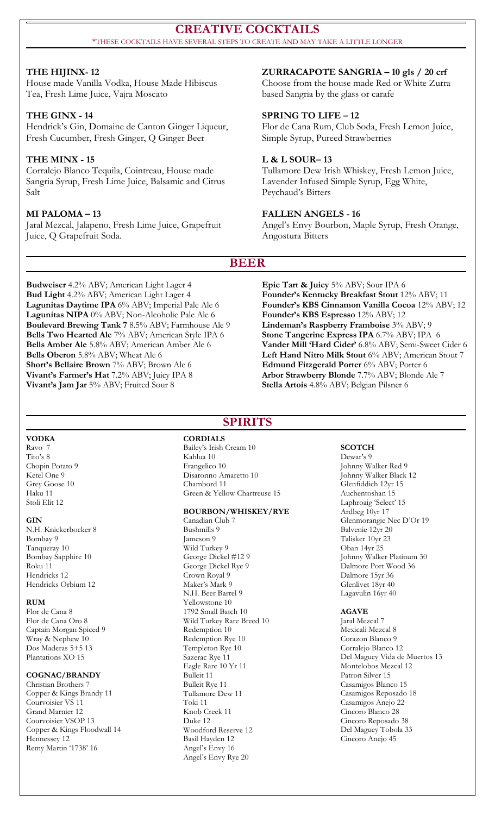#### **CREATIVE COCKTAILS** \*THESE COCKTAILS HAVE SEVERAL STEPS TO CREATE AND MAY TAKE A LITTLE LONGER

#### **THE HIJINX- 12**

#### House made Vanilla Vodka, House Made Hibiscus Tea, Fresh Lime Juice, Vajra Moscato

**THE GINX - 14** Hendrick's Gin, Domaine de Canton Ginger Liqueur, Fresh Cucumber, Fresh Ginger, Q Ginger Beer

#### **THE MINX - 15**

Corralejo Blanco Tequila, Cointreau, House made Sangria Syrup, Fresh Lime Juice, Balsamic and Citrus Salt

#### **MI PALOMA – 13**

Jaral Mezcal, Jalapeno, Fresh Lime Juice, Grapefruit Juice, Q Grapefruit Soda.

### **ZURRACAPOTE SANGRIA – 10 gls / 20 crf**

Choose from the house made Red or White Zurra based Sangria by the glass or carafe

#### **SPRING TO LIFE – 12**

Flor de Cana Rum, Club Soda, Fresh Lemon Juice, Simple Syrup, Pureed Strawberries

#### **L & L SOUR– 13**

Tullamore Dew Irish Whiskey, Fresh Lemon Juice, Lavender Infused Simple Syrup, Egg White, Peychaud's Bitters

#### **FALLEN ANGELS - 16**

Angel's Envy Bourbon, Maple Syrup, Fresh Orange, Angostura Bitters

#### **BEER**

**Budweiser** 4.2% ABV; American Light Lager 4 **Bud Light** 4.2% ABV; American Light Lager 4 **Lagunitas Daytime IPA** 6% ABV; Imperial Pale Ale 6 **Lagunitas NIPA** 0% ABV; Non-Alcoholic Pale Ale 6 **Boulevard Brewing Tank 7** 8.5% ABV; Farmhouse Ale 9 **Bells Two Hearted Ale** 7% ABV; American Style IPA 6 **Bells Amber Ale** 5.8% ABV; American Amber Ale 6 **Bells Oberon** 5.8% ABV; Wheat Ale 6 **Short's Bellaire Brown** 7% ABV; Brown Ale 6 **Vivant's Farmer's Hat** 7.2% ABV; Juicy IPA 8 **Vivant's Jam Jar** 5% ABV; Fruited Sour 8

**Epic Tart & Juicy** 5% ABV; Sour IPA 6 **Founder's Kentucky Breakfast Stout** 12% ABV; 11 **Founder's KBS Cinnamon Vanilla Cocoa** 12% ABV; 12 **Founder's KBS Espresso** 12% ABV; 12 **Lindeman's Raspberry Framboise** 3% ABV; 9 **Stone Tangerine Express IPA** 6.7% ABV; IPA 6 **Vander Mill 'Hard Cider'** 6.8% ABV; Semi-Sweet Cider 6 **Left Hand Nitro Milk Stout** 6% ABV; American Stout 7 **Edmund Fitzgerald Porter** 6% ABV; Porter 6 **Arbor Strawberry Blonde** 7.7% ABV; Blonde Ale 7 **Stella Artois** 4.8% ABV; Belgian Pilsner 6

#### **VODKA**

Ravo 7 Tito's 8 Chopin Potato 9 Ketel One 9 Grey Goose 10 Haku 11 Stoli Elit 12

#### **GIN**

N.H. Knickerbocker 8 Bombay 9 Tanqueray 10 Bombay Sapphire 10 Roku 11 Hendricks 12 Hendricks Orbium 12

#### **RUM**

Flor de Cana 8 Flor de Cana Oro 8 Captain Morgan Spiced 9 Wray & Nephew 10 Dos Maderas 5+5 13 Plantations XO 15

#### **COGNAC/BRANDY**

Christian Brothers 7 Copper & Kings Brandy 11 Courvoisier VS 11 Grand Marnier 12 Courvoisier VSOP 13 Copper & Kings Floodwall 14 Hennessey 12 Remy Martin '1738' 16

# **SPIRITS**

**CORDIALS** Bailey's Irish Cream 10 Kahlua 10 Frangelico 10 Disaronno Amaretto 10 Chambord 11 Green & Yellow Chartreuse 15

#### **BOURBON/WHISKEY/RYE**

Canadian Club 7 Bushmills 9 Jameson 9 Wild Turkey 9 George Dickel #12 9 George Dickel Rye 9 Crown Royal 9 Maker's Mark 9 N.H. Beer Barrel 9 Yellowstone 10 1792 Small Batch 10 Wild Turkey Rare Breed 10 Redemption 10 Redemption Rye 10 Templeton Rye 10 Sazerac Rye 11 Eagle Rare 10 Yr 11 Bulleit 11 Bulleit Rye 11 Tullamore Dew 11 Toki 11 Knob Creek 11 Duke 12 Woodford Reserve 12 Basil Hayden 12 Angel's Envy 16 Angel's Envy Rye 20

#### **SCOTCH**

Dewar's 9 Johnny Walker Red 9 Johnny Walker Black 12 Glenfiddich 12yr 15 Auchentoshan 15 Laphroaig 'Select' 15 Ardbeg 10yr 17 Glenmorangie Nec D'Or 19 Balvenie 12yr 20 Talisker 10yr 23 Oban 14yr 25 Johnny Walker Platinum 30 Dalmore Port Wood 36 Dalmore 15yr 36 Glenlivet 18yr 40 Lagavulin 16yr 40

#### **AGAVE**

Jaral Mezcal 7 Mexicali Mezcal 8 Corazon Blanco 9 Corralejo Blanco 12 Del Maguey Vida de Muertos 13 Montelobos Mezcal 12 Patron Silver 15 Casamigos Blanco 15 Casamigos Reposado 18 Casamigos Anejo 22 Cincoro Blanco 28 Cincoro Reposado 38 Del Maguey Tobola 33 Cincoro Anejo 45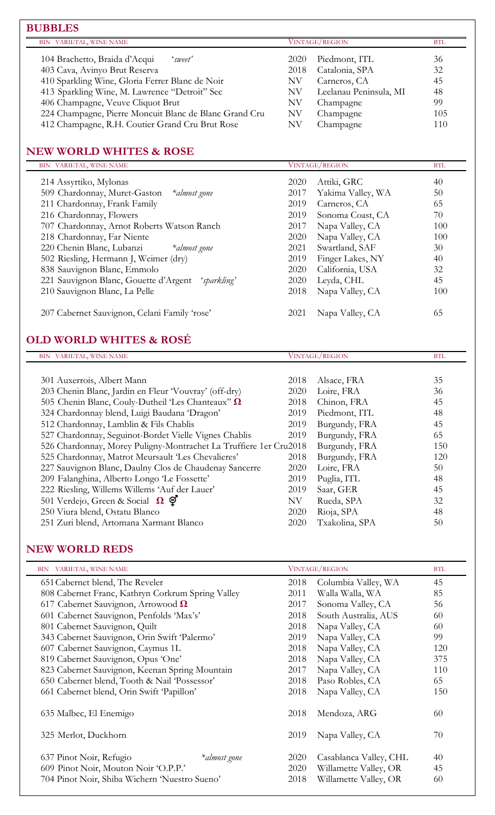| BIN VARIETAL, WINE NAME                                |      | <b>VINTAGE/REGION</b>  |     |
|--------------------------------------------------------|------|------------------------|-----|
| 104 Brachetto, Braida d'Acqui<br>'sweet'               | 2020 | Piedmont, ITL          | 36  |
| 403 Cava, Avinyo Brut Reserva                          | 2018 | Catalonia, SPA         | 32  |
| 410 Sparkling Wine, Gloria Ferrer Blanc de Noir        | ΝV   | Carneros, CA           | 45  |
| 413 Sparkling Wine, M. Lawrence "Detroit" Sec          | ΝV   | Leelanau Peninsula, MI | 48  |
| 406 Champagne, Veuve Cliquot Brut                      | NV   | Champagne              | 99  |
| 224 Champagne, Pierre Moncuit Blanc de Blanc Grand Cru | NV   | Champagne              | 105 |
| 412 Champagne, R.H. Coutier Grand Cru Brut Rose        | NV   | Champagne              | 110 |

# **NEW WORLD WHITES & ROSE**

| BIN VARIETAL, WINE NAME                              | <b>VINTAGE/REGION</b>     | <b>BTL</b> |
|------------------------------------------------------|---------------------------|------------|
| 214 Assyrtiko, Mylonas                               | Attiki, GRC<br>2020       | 40         |
| 509 Chardonnay, Muret-Gaston<br>*almost gone         | Yakima Valley, WA<br>2017 | 50         |
| 211 Chardonnay, Frank Family                         | 2019<br>Carneros, CA      | 65         |
| 216 Chardonnay, Flowers                              | Sonoma Coast, CA<br>2019  | 70         |
| 707 Chardonnay, Arnot Roberts Watson Ranch           | Napa Valley, CA<br>2017   | 100        |
| 218 Chardonnay, Far Niente                           | Napa Valley, CA<br>2020   | 100        |
| 220 Chenin Blanc, Lubanzi<br>*almost gone            | Swartland, SAF<br>2021    | 30         |
| 502 Riesling, Hermann J, Weimer (dry)                | Finger Lakes, NY<br>2019  | 40         |
| 838 Sauvignon Blanc, Emmolo                          | 2020<br>California, USA   | 32         |
| 221 Sauvignon Blanc, Gouette d'Argent<br>'sparkling' | Leyda, CHL<br>2020        | 45         |
| 210 Sauvignon Blanc, La Pelle                        | Napa Valley, CA<br>2018   | 100        |
| 207 Cabernet Sauvignon, Celani Family 'rose'         | 2021<br>Napa Valley, CA   | 65         |

# **OLD WORLD WHITES & ROSÉ**

| BIN VARIETAL, WINE NAME                                           |      | <b>VINTAGE/REGION</b> | <b>BTL</b> |
|-------------------------------------------------------------------|------|-----------------------|------------|
|                                                                   |      |                       |            |
| 301 Auxerrois, Albert Mann                                        | 2018 | Alsace, FRA           | 35         |
| 203 Chenin Blanc, Jardin en Fleur 'Vouvray' (off-dry)             | 2020 | Loire, FRA            | 36         |
| 505 Chenin Blanc, Couly-Dutheil 'Les Chanteaux'' $\Omega$         | 2018 | Chinon, FRA           | 45         |
| 324 Chardonnay blend, Luigi Baudana 'Dragon'                      | 2019 | Piedmont, ITL         | 48         |
| 512 Chardonnay, Lamblin & Fils Chablis                            | 2019 | Burgundy, FRA         | 45         |
| 527 Chardonnay, Seguinot-Bordet Vielle Vignes Chablis             | 2019 | Burgundy, FRA         | 65         |
| 526 Chardonnay, Morey Puligny-Montrachet La Truffiere 1er Cru2018 |      | Burgundy, FRA         | 150        |
| 525 Chardonnay, Matrot Meursault 'Les Chevalieres'                | 2018 | Burgundy, FRA         | 120        |
| 227 Sauvignon Blanc, Daulny Clos de Chaudenay Sancerre            | 2020 | Loire, FRA            | 50         |
| 209 Falanghina, Alberto Longo 'Le Fossette'                       | 2019 | Puglia, ITL           | 48         |
| 222 Riesling, Willems Willems 'Auf der Lauer'                     | 2019 | Saar, GER             | 45         |
| 501 Verdejo, Green & Social $\Omega$ $\Theta$                     | NV   | Rueda, SPA            | 32         |
| 250 Viura blend, Ostatu Blanco                                    | 2020 | Rioja, SPA            | 48         |
| 251 Zuri blend, Artomana Xarmant Blanco                           | 2020 | Txakolina, SPA        | 50         |

### **NEW WORLD REDS**

| BIN VARIETAL, WINE NAME                           | VINTAGE/REGION                 | <b>BTL</b> |
|---------------------------------------------------|--------------------------------|------------|
| 651 Cabernet blend, The Reveler                   | Columbia Valley, WA<br>2018    | 45         |
| 808 Cabernet Franc, Kathryn Corkrum Spring Valley | Walla Walla, WA<br>2011        | 85         |
| 617 Cabernet Sauvignon, Arrowood $\Omega$         | Sonoma Valley, CA<br>2017      | 56         |
| 601 Cabernet Sauvignon, Penfolds 'Max's'          | South Australia, AUS<br>2018   | 60         |
| 801 Cabernet Sauvignon, Quilt                     | 2018<br>Napa Valley, CA        | 60         |
| 343 Cabernet Sauvignon, Orin Swift 'Palermo'      | Napa Valley, CA<br>2019        | 99         |
| 607 Cabernet Sauvignon, Caymus 1L                 | Napa Valley, CA<br>2018        | 120        |
| 819 Cabernet Sauvignon, Opus 'One'                | Napa Valley, CA<br>2018        | 375        |
| 823 Cabernet Sauvignon, Keenan Spring Mountain    | Napa Valley, CA<br>2017        | 110        |
| 650 Cabernet blend, Tooth & Nail 'Possessor'      | Paso Robles, CA<br>2018        | 65         |
| 661 Cabernet blend, Orin Swift 'Papillon'         | Napa Valley, CA<br>2018        | 150        |
| 635 Malbec, El Enemigo                            | 2018<br>Mendoza, ARG           | 60         |
| 325 Merlot, Duckhorn                              | 2019<br>Napa Valley, CA        | 70         |
| 637 Pinot Noir, Refugio<br>*almost gone           | Casablanca Valley, CHL<br>2020 | 40         |
| 609 Pinot Noir, Mouton Noir 'O.P.P.'              | Willamette Valley, OR<br>2020  | 45         |
| 704 Pinot Noir, Shiba Wichern 'Nuestro Sueno'     | Willamette Valley, OR<br>2018  | 60         |